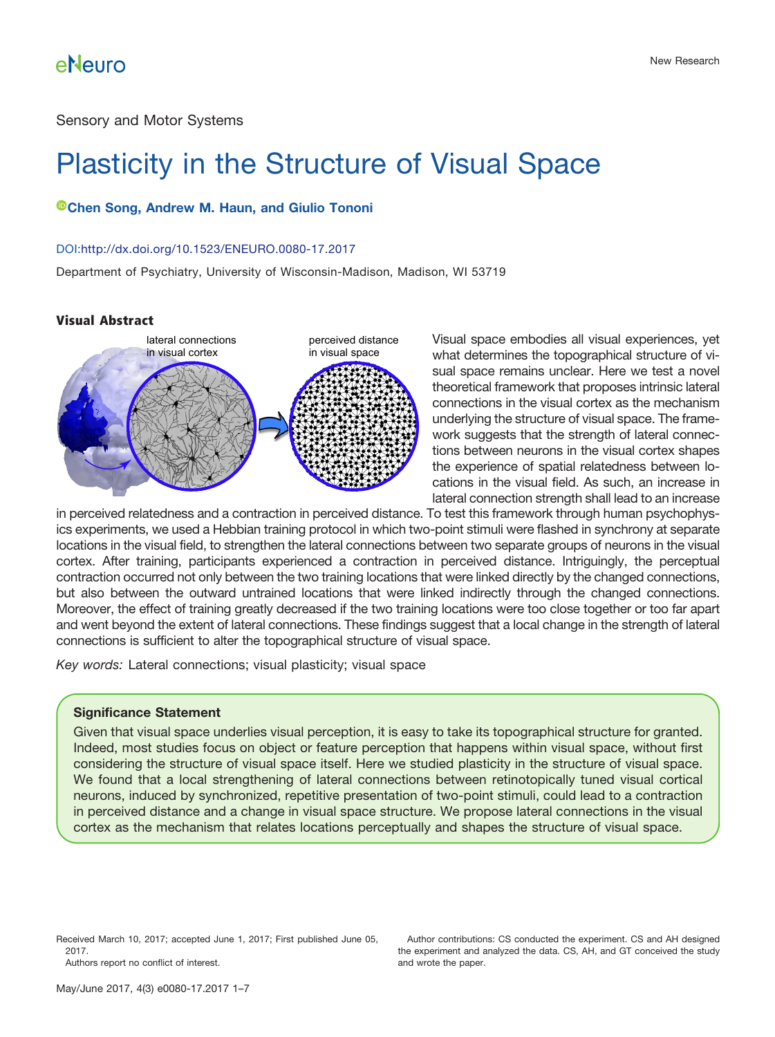Sensory and Motor Systems

# Plasticity in the Structure of Visual Space

### **[Chen Song,](http://orcid.org/0000-0002-5418-5747) Andrew M. Haun, and Giulio Tononi**

#### DOI[:http://dx.doi.org/10.1523/ENEURO.0080-17.2017](http://dx.doi.org/10.1523/ENEURO.0080-17.2017)

Department of Psychiatry, University of Wisconsin-Madison, Madison, WI 53719

### **Visual Abstract**



Visual space embodies all visual experiences, yet what determines the topographical structure of visual space remains unclear. Here we test a novel theoretical framework that proposes intrinsic lateral connections in the visual cortex as the mechanism underlying the structure of visual space. The framework suggests that the strength of lateral connections between neurons in the visual cortex shapes the experience of spatial relatedness between locations in the visual field. As such, an increase in lateral connection strength shall lead to an increase

in perceived relatedness and a contraction in perceived distance. To test this framework through human psychophysics experiments, we used a Hebbian training protocol in which two-point stimuli were flashed in synchrony at separate locations in the visual field, to strengthen the lateral connections between two separate groups of neurons in the visual cortex. After training, participants experienced a contraction in perceived distance. Intriguingly, the perceptual contraction occurred not only between the two training locations that were linked directly by the changed connections, but also between the outward untrained locations that were linked indirectly through the changed connections. Moreover, the effect of training greatly decreased if the two training locations were too close together or too far apart and went beyond the extent of lateral connections. These findings suggest that a local change in the strength of lateral connections is sufficient to alter the topographical structure of visual space.

*Key words:* Lateral connections; visual plasticity; visual space

#### **Significance Statement**

Given that visual space underlies visual perception, it is easy to take its topographical structure for granted. Indeed, most studies focus on object or feature perception that happens within visual space, without first considering the structure of visual space itself. Here we studied plasticity in the structure of visual space. We found that a local strengthening of lateral connections between retinotopically tuned visual cortical neurons, induced by synchronized, repetitive presentation of two-point stimuli, could lead to a contraction in perceived distance and a change in visual space structure. We propose lateral connections in the visual cortex as the mechanism that relates locations perceptually and shapes the structure of visual space.

Received March 10, 2017; accepted June 1, 2017; First published June 05, 2017. Authors report no conflict of interest.

Author contributions: CS conducted the experiment. CS and AH designed the experiment and analyzed the data. CS, AH, and GT conceived the study and wrote the paper.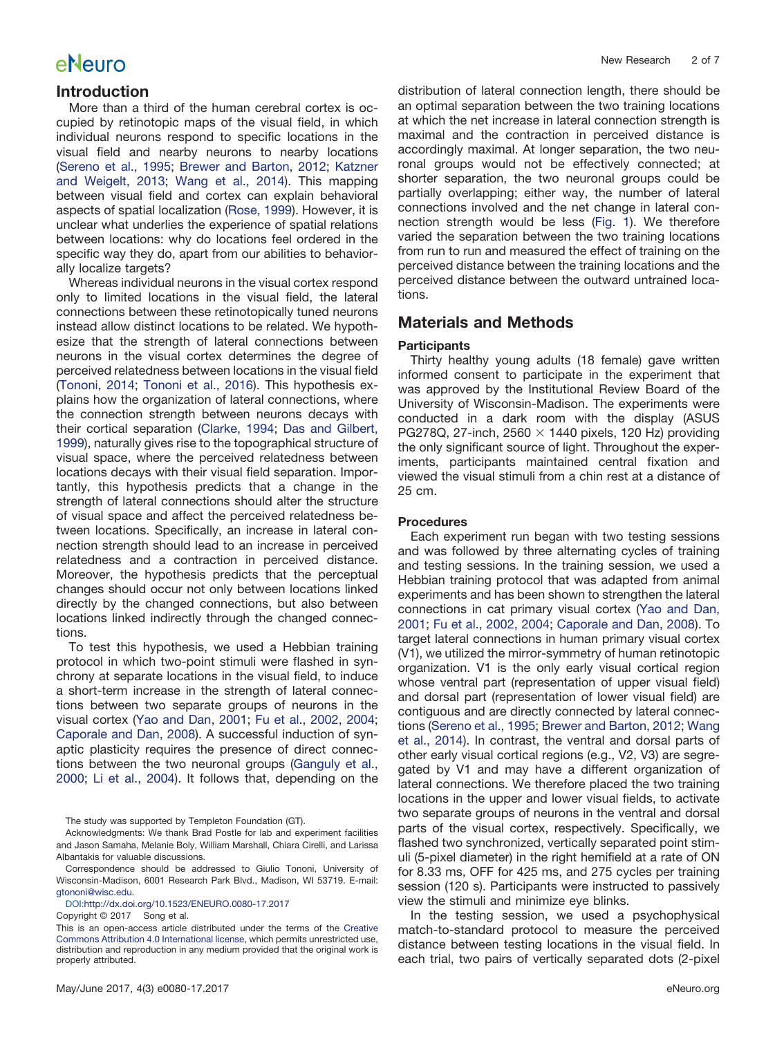### **Introduction**

More than a third of the human cerebral cortex is occupied by retinotopic maps of the visual field, in which individual neurons respond to specific locations in the visual field and nearby neurons to nearby locations [\(Sereno et al., 1995;](#page-6-0) [Brewer and Barton, 2012;](#page-5-0) [Katzner](#page-6-1) [and Weigelt, 2013;](#page-6-1) [Wang et al., 2014\)](#page-6-2). This mapping between visual field and cortex can explain behavioral aspects of spatial localization [\(Rose, 1999\)](#page-6-3). However, it is unclear what underlies the experience of spatial relations between locations: why do locations feel ordered in the specific way they do, apart from our abilities to behaviorally localize targets?

Whereas individual neurons in the visual cortex respond only to limited locations in the visual field, the lateral connections between these retinotopically tuned neurons instead allow distinct locations to be related. We hypothesize that the strength of lateral connections between neurons in the visual cortex determines the degree of perceived relatedness between locations in the visual field [\(Tononi, 2014;](#page-6-4) [Tononi et al., 2016\)](#page-6-5). This hypothesis explains how the organization of lateral connections, where the connection strength between neurons decays with their cortical separation [\(Clarke, 1994;](#page-5-1) [Das and Gilbert,](#page-5-2) [1999\)](#page-5-2), naturally gives rise to the topographical structure of visual space, where the perceived relatedness between locations decays with their visual field separation. Importantly, this hypothesis predicts that a change in the strength of lateral connections should alter the structure of visual space and affect the perceived relatedness between locations. Specifically, an increase in lateral connection strength should lead to an increase in perceived relatedness and a contraction in perceived distance. Moreover, the hypothesis predicts that the perceptual changes should occur not only between locations linked directly by the changed connections, but also between locations linked indirectly through the changed connections.

To test this hypothesis, we used a Hebbian training protocol in which two-point stimuli were flashed in synchrony at separate locations in the visual field, to induce a short-term increase in the strength of lateral connections between two separate groups of neurons in the visual cortex [\(Yao and Dan, 2001;](#page-6-6) [Fu et al., 2002, 2004;](#page-5-3) [Caporale and Dan, 2008\)](#page-5-4). A successful induction of synaptic plasticity requires the presence of direct connections between the two neuronal groups [\(Ganguly et al.,](#page-6-7) [2000;](#page-6-7) [Li et al., 2004\)](#page-6-8). It follows that, depending on the

The study was supported by Templeton Foundation (GT).

Acknowledgments: We thank Brad Postle for lab and experiment facilities and Jason Samaha, Melanie Boly, William Marshall, Chiara Cirelli, and Larissa Albantakis for valuable discussions.

Correspondence should be addressed to Giulio Tononi, University of Wisconsin-Madison, 6001 Research Park Blvd., Madison, WI 53719. E-mail: [gtononi@wisc.edu.](mailto:gtononi@wisc.edu)

DOI[:http://dx.doi.org/10.1523/ENEURO.0080-17.2017](http://dx.doi.org/10.1523/ENEURO.0080-17.2017)

Copyright © 2017 Song et al.

distribution of lateral connection length, there should be an optimal separation between the two training locations at which the net increase in lateral connection strength is maximal and the contraction in perceived distance is accordingly maximal. At longer separation, the two neuronal groups would not be effectively connected; at shorter separation, the two neuronal groups could be partially overlapping; either way, the number of lateral connections involved and the net change in lateral connection strength would be less [\(Fig. 1\)](#page-2-0). We therefore varied the separation between the two training locations from run to run and measured the effect of training on the perceived distance between the training locations and the perceived distance between the outward untrained locations.

### **Materials and Methods**

#### **Participants**

Thirty healthy young adults (18 female) gave written informed consent to participate in the experiment that was approved by the Institutional Review Board of the University of Wisconsin-Madison. The experiments were conducted in a dark room with the display (ASUS PG278Q, 27-inch, 2560  $\times$  1440 pixels, 120 Hz) providing the only significant source of light. Throughout the experiments, participants maintained central fixation and viewed the visual stimuli from a chin rest at a distance of 25 cm.

#### **Procedures**

Each experiment run began with two testing sessions and was followed by three alternating cycles of training and testing sessions. In the training session, we used a Hebbian training protocol that was adapted from animal experiments and has been shown to strengthen the lateral connections in cat primary visual cortex [\(Yao and Dan,](#page-6-6) [2001;](#page-6-6) [Fu et al., 2002, 2004;](#page-5-3) [Caporale and Dan, 2008\)](#page-5-4). To target lateral connections in human primary visual cortex (V1), we utilized the mirror-symmetry of human retinotopic organization. V1 is the only early visual cortical region whose ventral part (representation of upper visual field) and dorsal part (representation of lower visual field) are contiguous and are directly connected by lateral connections [\(Sereno et al., 1995;](#page-6-0) [Brewer and Barton, 2012;](#page-5-0) [Wang](#page-6-2) [et al., 2014\)](#page-6-2). In contrast, the ventral and dorsal parts of other early visual cortical regions (e.g., V2, V3) are segregated by V1 and may have a different organization of lateral connections. We therefore placed the two training locations in the upper and lower visual fields, to activate two separate groups of neurons in the ventral and dorsal parts of the visual cortex, respectively. Specifically, we flashed two synchronized, vertically separated point stimuli (5-pixel diameter) in the right hemifield at a rate of ON for 8.33 ms, OFF for 425 ms, and 275 cycles per training session (120 s). Participants were instructed to passively view the stimuli and minimize eye blinks.

In the testing session, we used a psychophysical match-to-standard protocol to measure the perceived distance between testing locations in the visual field. In each trial, two pairs of vertically separated dots (2-pixel

This is an open-access article distributed under the terms of the [Creative](http://creativecommons.org/licenses/by/4.0/) [Commons Attribution 4.0 International license,](http://creativecommons.org/licenses/by/4.0/) which permits unrestricted use, distribution and reproduction in any medium provided that the original work is properly attributed.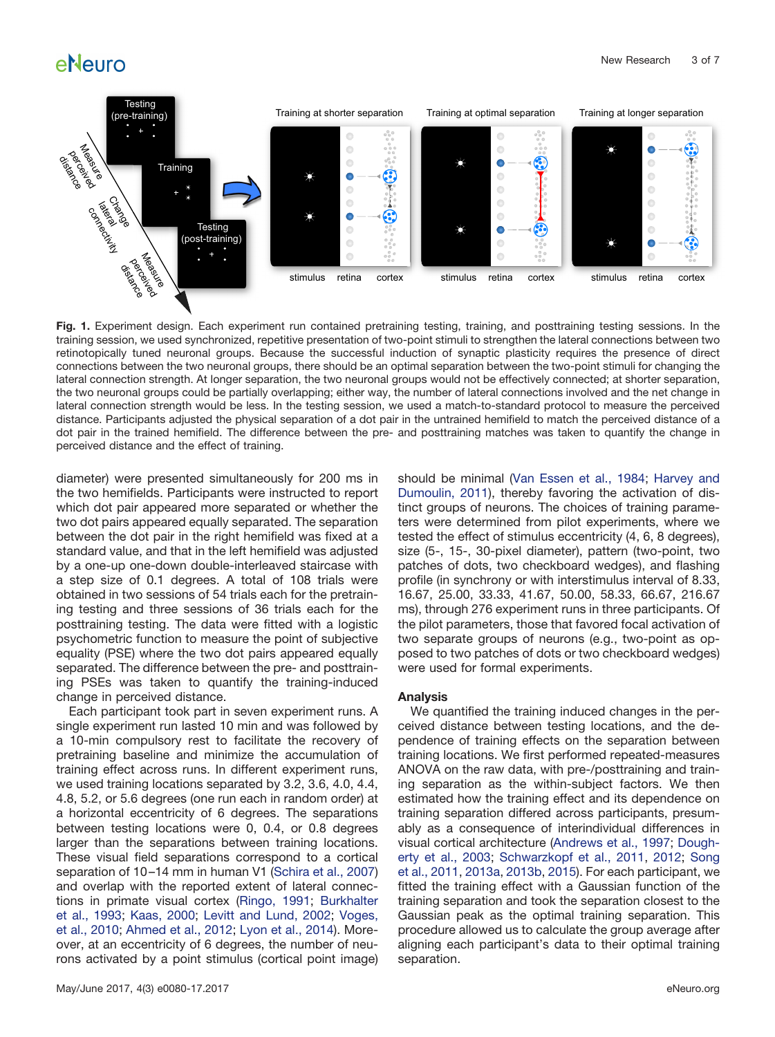

<span id="page-2-0"></span>**Fig. 1.** Experiment design. Each experiment run contained pretraining testing, training, and posttraining testing sessions. In the training session, we used synchronized, repetitive presentation of two-point stimuli to strengthen the lateral connections between two retinotopically tuned neuronal groups. Because the successful induction of synaptic plasticity requires the presence of direct connections between the two neuronal groups, there should be an optimal separation between the two-point stimuli for changing the lateral connection strength. At longer separation, the two neuronal groups would not be effectively connected; at shorter separation, the two neuronal groups could be partially overlapping; either way, the number of lateral connections involved and the net change in lateral connection strength would be less. In the testing session, we used a match-to-standard protocol to measure the perceived distance. Participants adjusted the physical separation of a dot pair in the untrained hemifield to match the perceived distance of a dot pair in the trained hemifield. The difference between the pre- and posttraining matches was taken to quantify the change in perceived distance and the effect of training.

diameter) were presented simultaneously for 200 ms in the two hemifields. Participants were instructed to report which dot pair appeared more separated or whether the two dot pairs appeared equally separated. The separation between the dot pair in the right hemifield was fixed at a standard value, and that in the left hemifield was adjusted by a one-up one-down double-interleaved staircase with a step size of 0.1 degrees. A total of 108 trials were obtained in two sessions of 54 trials each for the pretraining testing and three sessions of 36 trials each for the posttraining testing. The data were fitted with a logistic psychometric function to measure the point of subjective equality (PSE) where the two dot pairs appeared equally separated. The difference between the pre- and posttraining PSEs was taken to quantify the training-induced change in perceived distance.

Each participant took part in seven experiment runs. A single experiment run lasted 10 min and was followed by a 10-min compulsory rest to facilitate the recovery of pretraining baseline and minimize the accumulation of training effect across runs. In different experiment runs, we used training locations separated by 3.2, 3.6, 4.0, 4.4, 4.8, 5.2, or 5.6 degrees (one run each in random order) at a horizontal eccentricity of 6 degrees. The separations between testing locations were 0, 0.4, or 0.8 degrees larger than the separations between training locations. These visual field separations correspond to a cortical separation of 10-14 mm in human V1 [\(Schira et al., 2007\)](#page-6-9) and overlap with the reported extent of lateral connections in primate visual cortex [\(Ringo, 1991;](#page-6-10) [Burkhalter](#page-5-5) [et al., 1993;](#page-5-5) [Kaas, 2000;](#page-6-11) [Levitt and Lund, 2002;](#page-6-12) [Voges,](#page-6-13) [et al., 2010;](#page-6-13) [Ahmed et al., 2012;](#page-5-6) [Lyon et al., 2014\)](#page-6-14). Moreover, at an eccentricity of 6 degrees, the number of neurons activated by a point stimulus (cortical point image) should be minimal [\(Van Essen et al., 1984;](#page-6-15) [Harvey and](#page-6-16) [Dumoulin, 2011\)](#page-6-16), thereby favoring the activation of distinct groups of neurons. The choices of training parameters were determined from pilot experiments, where we tested the effect of stimulus eccentricity (4, 6, 8 degrees), size (5-, 15-, 30-pixel diameter), pattern (two-point, two patches of dots, two checkboard wedges), and flashing profile (in synchrony or with interstimulus interval of 8.33, 16.67, 25.00, 33.33, 41.67, 50.00, 58.33, 66.67, 216.67 ms), through 276 experiment runs in three participants. Of the pilot parameters, those that favored focal activation of two separate groups of neurons (e.g., two-point as opposed to two patches of dots or two checkboard wedges) were used for formal experiments.

#### **Analysis**

We quantified the training induced changes in the perceived distance between testing locations, and the dependence of training effects on the separation between training locations. We first performed repeated-measures ANOVA on the raw data, with pre-/posttraining and training separation as the within-subject factors. We then estimated how the training effect and its dependence on training separation differed across participants, presumably as a consequence of interindividual differences in visual cortical architecture [\(Andrews et al., 1997;](#page-5-7) [Dough](#page-5-8)[erty et al., 2003;](#page-5-8) [Schwarzkopf et al., 2011,](#page-6-17) [2012;](#page-6-18) [Song](#page-6-19) [et al., 2011,](#page-6-19) [2013a,](#page-6-20) [2013b,](#page-6-21) [2015\)](#page-6-22). For each participant, we fitted the training effect with a Gaussian function of the training separation and took the separation closest to the Gaussian peak as the optimal training separation. This procedure allowed us to calculate the group average after aligning each participant's data to their optimal training separation.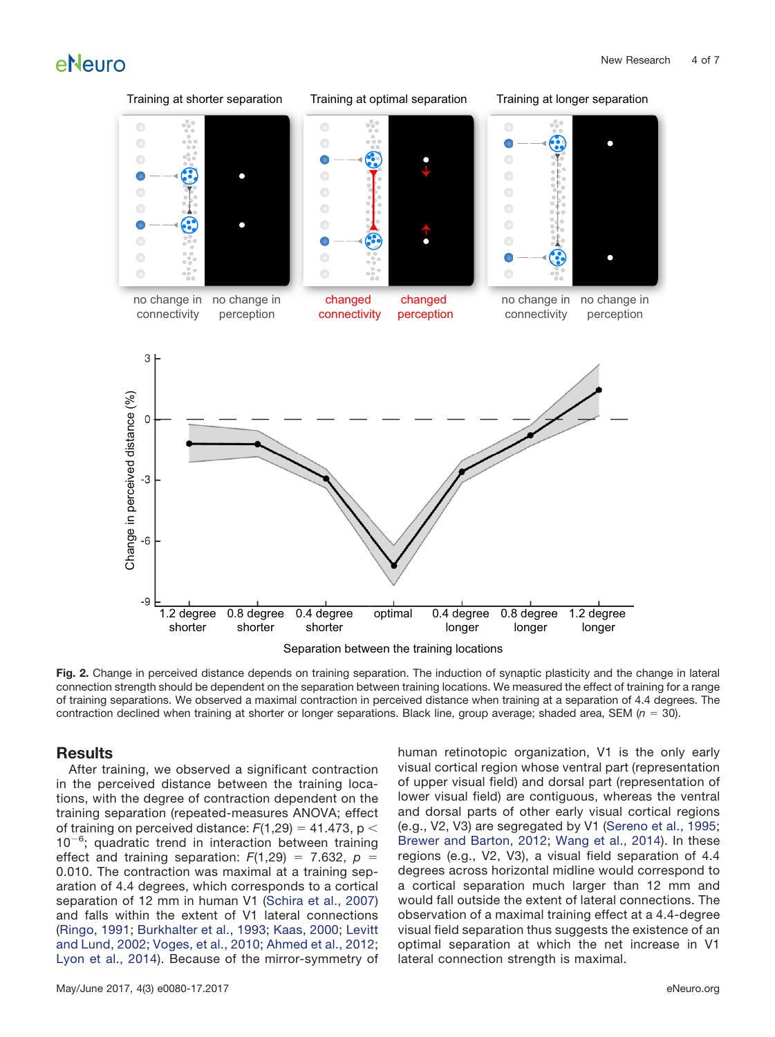

<span id="page-3-0"></span>**Fig. 2.** Change in perceived distance depends on training separation. The induction of synaptic plasticity and the change in lateral connection strength should be dependent on the separation between training locations. We measured the effect of training for a range of training separations. We observed a maximal contraction in perceived distance when training at a separation of 4.4 degrees. The contraction declined when training at shorter or longer separations. Black line, group average; shaded area, SEM  $(n = 30)$ .

### **Results**

After training, we observed a significant contraction in the perceived distance between the training locations, with the degree of contraction dependent on the training separation (repeated-measures ANOVA; effect of training on perceived distance:  $F(1,29) = 41.473$ , p <  $10^{-6}$ ; quadratic trend in interaction between training effect and training separation:  $F(1,29) = 7.632$ ,  $p =$ 0.010. The contraction was maximal at a training separation of 4.4 degrees, which corresponds to a cortical separation of 12 mm in human V1 [\(Schira et al., 2007\)](#page-6-9) and falls within the extent of V1 lateral connections [\(Ringo, 1991;](#page-6-10) [Burkhalter et al., 1993;](#page-5-5) [Kaas, 2000;](#page-6-11) [Levitt](#page-6-12) [and Lund, 2002;](#page-6-12) [Voges, et al., 2010;](#page-6-13) [Ahmed et al., 2012;](#page-5-6) [Lyon et al., 2014\)](#page-6-14). Because of the mirror-symmetry of

May/June 2017, 4(3) e0080-17.2017 eNeuro.org

human retinotopic organization, V1 is the only early visual cortical region whose ventral part (representation of upper visual field) and dorsal part (representation of lower visual field) are contiguous, whereas the ventral and dorsal parts of other early visual cortical regions (e.g., V2, V3) are segregated by V1 [\(Sereno et al., 1995;](#page-6-0) [Brewer and Barton, 2012;](#page-5-0) [Wang et al., 2014\)](#page-6-2). In these regions (e.g., V2, V3), a visual field separation of 4.4 degrees across horizontal midline would correspond to a cortical separation much larger than 12 mm and would fall outside the extent of lateral connections. The observation of a maximal training effect at a 4.4-degree visual field separation thus suggests the existence of an optimal separation at which the net increase in V1 lateral connection strength is maximal.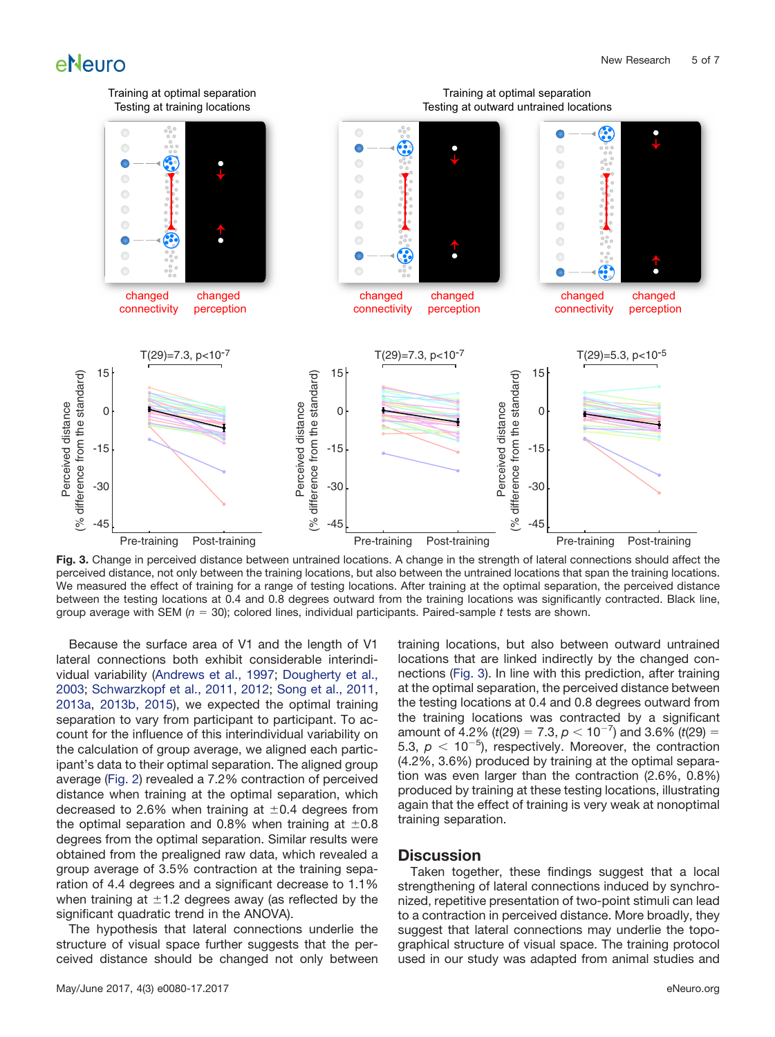

<span id="page-4-0"></span>**Fig. 3.** Change in perceived distance between untrained locations. A change in the strength of lateral connections should affect the perceived distance, not only between the training locations, but also between the untrained locations that span the training locations. We measured the effect of training for a range of testing locations. After training at the optimal separation, the perceived distance between the testing locations at 0.4 and 0.8 degrees outward from the training locations was significantly contracted. Black line, group average with SEM (*n* 30); colored lines, individual participants. Paired-sample *t* tests are shown.

Because the surface area of V1 and the length of V1 lateral connections both exhibit considerable interindividual variability [\(Andrews et al., 1997;](#page-5-7) [Dougherty et al.,](#page-5-8) [2003;](#page-5-8) [Schwarzkopf et al., 2011,](#page-6-17) [2012;](#page-6-18) [Song et al., 2011,](#page-6-19) [2013a,](#page-6-20) [2013b,](#page-6-21) [2015\)](#page-6-22), we expected the optimal training separation to vary from participant to participant. To account for the influence of this interindividual variability on the calculation of group average, we aligned each participant's data to their optimal separation. The aligned group average [\(Fig. 2\)](#page-3-0) revealed a 7.2% contraction of perceived distance when training at the optimal separation, which decreased to 2.6% when training at  $\pm$ 0.4 degrees from the optimal separation and 0.8% when training at  $\pm 0.8$ degrees from the optimal separation. Similar results were obtained from the prealigned raw data, which revealed a group average of 3.5% contraction at the training separation of 4.4 degrees and a significant decrease to 1.1% when training at  $\pm$ 1.2 degrees away (as reflected by the significant quadratic trend in the ANOVA).

The hypothesis that lateral connections underlie the structure of visual space further suggests that the perceived distance should be changed not only between training locations, but also between outward untrained locations that are linked indirectly by the changed connections [\(Fig. 3\)](#page-4-0). In line with this prediction, after training at the optimal separation, the perceived distance between the testing locations at 0.4 and 0.8 degrees outward from the training locations was contracted by a significant amount of 4.2% ( $t(29) = 7.3$ ,  $p < 10^{-7}$ ) and 3.6% ( $t(29) =$ 5.3,  $p < 10^{-5}$ ), respectively. Moreover, the contraction (4.2%, 3.6%) produced by training at the optimal separation was even larger than the contraction (2.6%, 0.8%) produced by training at these testing locations, illustrating again that the effect of training is very weak at nonoptimal training separation.

#### **Discussion**

Taken together, these findings suggest that a local strengthening of lateral connections induced by synchronized, repetitive presentation of two-point stimuli can lead to a contraction in perceived distance. More broadly, they suggest that lateral connections may underlie the topographical structure of visual space. The training protocol used in our study was adapted from animal studies and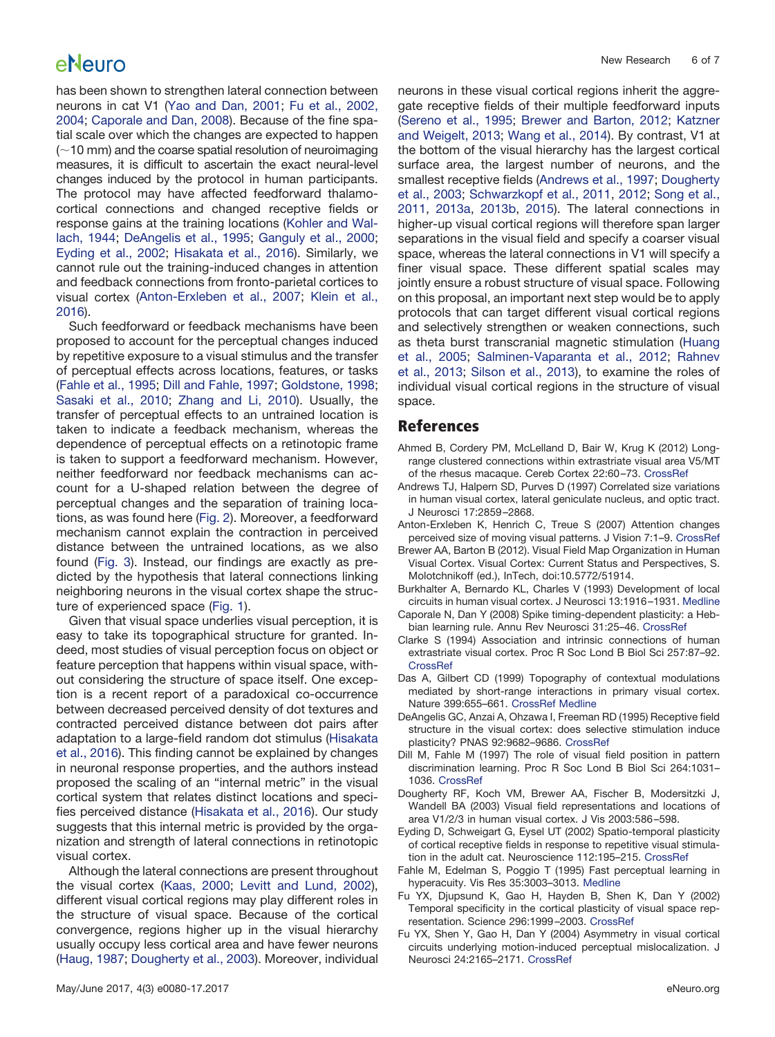has been shown to strengthen lateral connection between neurons in cat V1 [\(Yao and Dan, 2001;](#page-6-6) [Fu et al., 2002,](#page-5-3) [2004;](#page-5-3) [Caporale and Dan, 2008\)](#page-5-4). Because of the fine spatial scale over which the changes are expected to happen  $(\sim$ 10 mm) and the coarse spatial resolution of neuroimaging measures, it is difficult to ascertain the exact neural-level changes induced by the protocol in human participants. The protocol may have affected feedforward thalamocortical connections and changed receptive fields or response gains at the training locations [\(Kohler and Wal](#page-6-23)[lach, 1944;](#page-6-23) [DeAngelis et al., 1995;](#page-5-9) [Ganguly et al., 2000;](#page-6-7) [Eyding et al., 2002;](#page-5-10) [Hisakata et al., 2016\)](#page-6-24). Similarly, we cannot rule out the training-induced changes in attention and feedback connections from fronto-parietal cortices to visual cortex [\(Anton-Erxleben et al., 2007;](#page-5-11) [Klein et al.,](#page-6-25) [2016\)](#page-6-25).

Such feedforward or feedback mechanisms have been proposed to account for the perceptual changes induced by repetitive exposure to a visual stimulus and the transfer of perceptual effects across locations, features, or tasks [\(Fahle et al., 1995;](#page-5-12) [Dill and Fahle, 1997;](#page-5-13) [Goldstone, 1998;](#page-6-26) [Sasaki et al., 2010;](#page-6-27) [Zhang and Li, 2010\)](#page-6-28). Usually, the transfer of perceptual effects to an untrained location is taken to indicate a feedback mechanism, whereas the dependence of perceptual effects on a retinotopic frame is taken to support a feedforward mechanism. However, neither feedforward nor feedback mechanisms can account for a U-shaped relation between the degree of perceptual changes and the separation of training locations, as was found here [\(Fig. 2\)](#page-3-0). Moreover, a feedforward mechanism cannot explain the contraction in perceived distance between the untrained locations, as we also found [\(Fig. 3\)](#page-4-0). Instead, our findings are exactly as predicted by the hypothesis that lateral connections linking neighboring neurons in the visual cortex shape the structure of experienced space [\(Fig. 1\)](#page-2-0).

Given that visual space underlies visual perception, it is easy to take its topographical structure for granted. Indeed, most studies of visual perception focus on object or feature perception that happens within visual space, without considering the structure of space itself. One exception is a recent report of a paradoxical co-occurrence between decreased perceived density of dot textures and contracted perceived distance between dot pairs after adaptation to a large-field random dot stimulus [\(Hisakata](#page-6-24) [et al., 2016\)](#page-6-24). This finding cannot be explained by changes in neuronal response properties, and the authors instead proposed the scaling of an "internal metric" in the visual cortical system that relates distinct locations and specifies perceived distance [\(Hisakata et al., 2016\)](#page-6-24). Our study suggests that this internal metric is provided by the organization and strength of lateral connections in retinotopic visual cortex.

Although the lateral connections are present throughout the visual cortex [\(Kaas, 2000;](#page-6-11) [Levitt and Lund, 2002\)](#page-6-12), different visual cortical regions may play different roles in the structure of visual space. Because of the cortical convergence, regions higher up in the visual hierarchy usually occupy less cortical area and have fewer neurons [\(Haug, 1987;](#page-6-29) [Dougherty et al., 2003\)](#page-5-8). Moreover, individual

neurons in these visual cortical regions inherit the aggregate receptive fields of their multiple feedforward inputs [\(Sereno et al., 1995;](#page-6-0) [Brewer and Barton, 2012;](#page-5-0) [Katzner](#page-6-1) [and Weigelt, 2013;](#page-6-1) [Wang et al., 2014\)](#page-6-2). By contrast, V1 at the bottom of the visual hierarchy has the largest cortical surface area, the largest number of neurons, and the smallest receptive fields [\(Andrews et al., 1997;](#page-5-7) [Dougherty](#page-5-8) [et al., 2003;](#page-5-8) [Schwarzkopf et al., 2011,](#page-6-17) [2012;](#page-6-18) [Song et al.,](#page-6-19) [2011,](#page-6-19) [2013a,](#page-6-20) [2013b,](#page-6-21) [2015\)](#page-6-22). The lateral connections in higher-up visual cortical regions will therefore span larger separations in the visual field and specify a coarser visual space, whereas the lateral connections in V1 will specify a finer visual space. These different spatial scales may jointly ensure a robust structure of visual space. Following on this proposal, an important next step would be to apply protocols that can target different visual cortical regions and selectively strengthen or weaken connections, such as theta burst transcranial magnetic stimulation [\(Huang](#page-6-30) [et al., 2005;](#page-6-30) [Salminen-Vaparanta et al., 2012;](#page-6-31) [Rahnev](#page-6-32) [et al., 2013;](#page-6-32) [Silson et al., 2013\)](#page-6-33), to examine the roles of individual visual cortical regions in the structure of visual space.

## **References**

- <span id="page-5-6"></span>Ahmed B, Cordery PM, McLelland D, Bair W, Krug K (2012) Longrange clustered connections within extrastriate visual area V5/MT of the rhesus macaque. Cereb Cortex 22:60 –73. [CrossRef](http://dx.doi.org/10.1093/cercor/bhr072)
- <span id="page-5-7"></span>Andrews TJ, Halpern SD, Purves D (1997) Correlated size variations in human visual cortex, lateral geniculate nucleus, and optic tract. J Neurosci 17:2859 –2868.
- <span id="page-5-11"></span>Anton-Erxleben K, Henrich C, Treue S (2007) Attention changes perceived size of moving visual patterns. J Vision 7:1–9. [CrossRef](http://dx.doi.org/10.1167/7.11.5)
- <span id="page-5-0"></span>Brewer AA, Barton B (2012). Visual Field Map Organization in Human Visual Cortex. Visual Cortex: Current Status and Perspectives, S. Molotchnikoff (ed.), InTech, doi:10.5772/51914.
- <span id="page-5-5"></span>Burkhalter A, Bernardo KL, Charles V (1993) Development of local circuits in human visual cortex. J Neurosci 13:1916 –1931. [Medline](http://www.ncbi.nlm.nih.gov/pubmed/8478684)
- <span id="page-5-4"></span>Caporale N, Dan Y (2008) Spike timing-dependent plasticity: a Hebbian learning rule. Annu Rev Neurosci 31:25–46. [CrossRef](http://dx.doi.org/10.1146/annurev.neuro.31.060407.125639)
- <span id="page-5-1"></span>Clarke S (1994) Association and intrinsic connections of human extrastriate visual cortex. Proc R Soc Lond B Biol Sci 257:87–92. **[CrossRef](http://dx.doi.org/10.1098/rspb.1994.0098)**
- <span id="page-5-2"></span>Das A, Gilbert CD (1999) Topography of contextual modulations mediated by short-range interactions in primary visual cortex. Nature 399:655–661. [CrossRef](http://dx.doi.org/10.1038/21371) [Medline](http://www.ncbi.nlm.nih.gov/pubmed/10385116)
- <span id="page-5-9"></span>DeAngelis GC, Anzai A, Ohzawa I, Freeman RD (1995) Receptive field structure in the visual cortex: does selective stimulation induce plasticity? PNAS 92:9682–9686. [CrossRef](http://dx.doi.org/10.1073/pnas.92.21.9682)
- <span id="page-5-13"></span>Dill M, Fahle M (1997) The role of visual field position in pattern discrimination learning. Proc R Soc Lond B Biol Sci 264:1031– 1036. [CrossRef](http://dx.doi.org/10.1098/rspb.1997.0142)
- <span id="page-5-8"></span>Dougherty RF, Koch VM, Brewer AA, Fischer B, Modersitzki J, Wandell BA (2003) Visual field representations and locations of area V1/2/3 in human visual cortex. J Vis 2003:586 –598.
- <span id="page-5-10"></span>Eyding D, Schweigart G, Eysel UT (2002) Spatio-temporal plasticity of cortical receptive fields in response to repetitive visual stimulation in the adult cat. Neuroscience 112:195–215. [CrossRef](http://dx.doi.org/10.1016/S0306-4522(02)00039-8)
- <span id="page-5-12"></span>Fahle M, Edelman S, Poggio T (1995) Fast perceptual learning in hyperacuity. Vis Res 35:3003–3013. [Medline](http://www.ncbi.nlm.nih.gov/pubmed/8533337)
- Fu YX, Djupsund K, Gao H, Hayden B, Shen K, Dan Y (2002) Temporal specificity in the cortical plasticity of visual space representation. Science 296:1999 –2003. [CrossRef](http://dx.doi.org/10.1126/science.1070521)
- <span id="page-5-3"></span>Fu YX, Shen Y, Gao H, Dan Y (2004) Asymmetry in visual cortical circuits underlying motion-induced perceptual mislocalization. J Neurosci 24:2165–2171. [CrossRef](http://dx.doi.org/10.1523/JNEUROSCI.5145-03.2004)